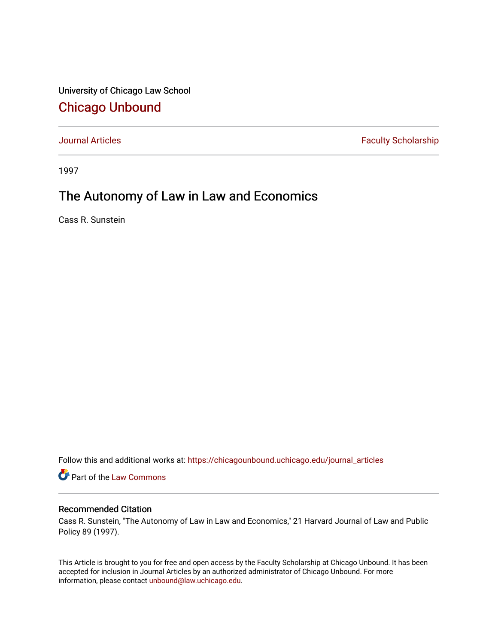University of Chicago Law School [Chicago Unbound](https://chicagounbound.uchicago.edu/)

[Journal Articles](https://chicagounbound.uchicago.edu/journal_articles) **Faculty Scholarship Faculty Scholarship** 

1997

## The Autonomy of Law in Law and Economics

Cass R. Sunstein

Follow this and additional works at: [https://chicagounbound.uchicago.edu/journal\\_articles](https://chicagounbound.uchicago.edu/journal_articles?utm_source=chicagounbound.uchicago.edu%2Fjournal_articles%2F8574&utm_medium=PDF&utm_campaign=PDFCoverPages) 

Part of the [Law Commons](http://network.bepress.com/hgg/discipline/578?utm_source=chicagounbound.uchicago.edu%2Fjournal_articles%2F8574&utm_medium=PDF&utm_campaign=PDFCoverPages)

## Recommended Citation

Cass R. Sunstein, "The Autonomy of Law in Law and Economics," 21 Harvard Journal of Law and Public Policy 89 (1997).

This Article is brought to you for free and open access by the Faculty Scholarship at Chicago Unbound. It has been accepted for inclusion in Journal Articles by an authorized administrator of Chicago Unbound. For more information, please contact [unbound@law.uchicago.edu](mailto:unbound@law.uchicago.edu).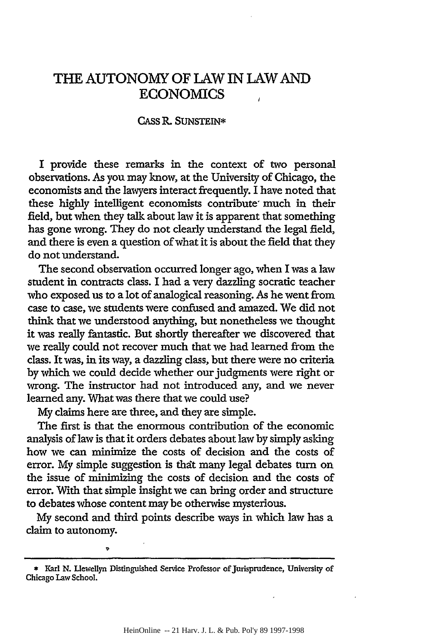## **THE AUTONOMY** OF LAW **IN** LAW **AND** ECONOMICS

## **CASS** P, SUNSTEIN\*

I provide these remarks in the context of two personal observations. As you may know, at the University of Chicago, the economists and the lawyers interact frequently. I have noted that these highly intelligent economists contribute much in their field, but when they talk about law it is apparent that something has gone wrong. They do not clearly understand the legal field, and there is even a question of what it is about the field that they do not understand.

The second observation occurred longer ago, when I was a law student in contracts class. I had a very dazzling socratic teacher who exposed us to a lot of analogical reasoning. As he went from case to case, we students were confused and amazed. We did not think that we understood anything, but nonetheless we thought it was really fantastic. But shortly thereafter we discovered that we really could not recover much that we had learned from the class. It was, in its way, a dazzling class, but there were no criteria by which we could decide whether our judgments were right or wrong. The instructor had not introduced any, and we never learned any. What was there that we could use?

**My** claims here are three, and they are simple.

The first is that the enormous contribution of the economic analysis of law is that it orders debates about law by simply asking how we can minimize the costs of decision and the costs of error. My simple suggestion is that many legal debates turn on the issue of minimizing the costs of decision and the costs of error. With that simple insight we can bring order and structure to debates whose content may be otherwise mysterious.

My second and third points describe ways in which law has a claim to autonomy.

 $\ddot{\phantom{a}}$ 

**<sup>\*</sup>** Karl **N.** Liewellyn Distinguished Service Professor of Jurisprudence, University of Chicago Law School.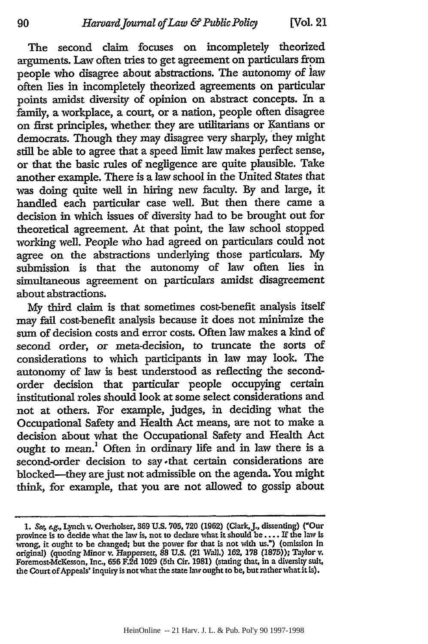The second claim focuses on incompletely theorized arguments. Law often tries to get agreement on particulars from people who disagree about abstractions. The autonomy of lav often lies in incompletely theorized agreements on particular points amidst diversity of opinion on abstract concepts. In a family, a workplace, a court, or a nation, people often disagree on first principles, whether they are utilitarians or Kantians or democrats. Though they may disagree very sharply, they might still be able to agree that a speed limit law makes perfect sense, or that the basic rules of negligence are quite plausible. Take another example. There is a law school in the United States that was doing quite well in hiring new faculty. By and large, it handled each particular case well. But then there came a decision in which issues of diversity had to be brought out for theoretical agreement. At that point, the law school stopped working well. People who had agreed on particulars could not agree on the abstractions underlying those particulars. My submission is that the autonomy of law often lies in simultaneous agreement on particulars amidst disagreement about abstractions.

My third claim is that sometimes cost-benefit analysis itself may fail cost-benefit analysis because it does not minimize the sum of decision costs and error costs. Often law makes a kind of second order, or meta-decision, to truncate the sorts of considerations to which participants in law may look. The autonomy of law is best understood as reflecting the secondorder decision that particular people occupying certain institutional roles should look at some select considerations and not at others. For example, judges, in deciding what the Occupational Safety and Health Act means, are not to make a decision about what the Occupational Safety and Health Act ought to mean.' Often in ordinary life and in law there is a second-order decision to say-that certain considerations are blocked-they are just not admissible on the agenda. You might think, for example, that you are not allowed to gossip about

<sup>1.</sup> *See, e.g.*, Lynch v. Overholser, 369 U.S. 705, 720 (1962) (Clark, J., dissenting) ("Our province is to decide what the law is, not to declare what it should be .... If the law is wrong, it ought to be changed; but the power for that is not with us.") (omission in original) (quoting Minor v. Happersett, **88 U.S.** (21 Wall.) 162, 178 **(1875));** Taylor v. Foremost-McKesson, Inc., **656** F.2d 1029 (5th Cir. **1981)** (stating that, in a diversity suit, the Court of Appeals' inquiry is notwhat the state law ought to be, but ratherwhatit is).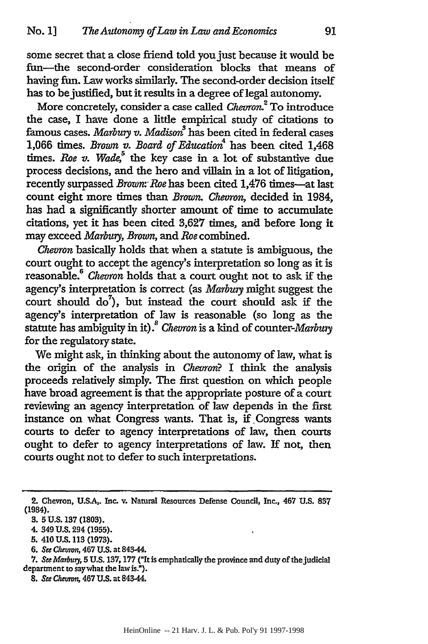some secret that a close friend told you just because it would be fun-the second-order consideration blocks that means of having fun. Law works similarly. The second-order decision itself has to be justified, but it results in a degree of legal autonomy.

More concretely, consider a case called *Chevron*.<sup>2</sup> To introduce the case, I have done a little empirical study of citations to famous cases. *Marbury v. Madison*<sup>3</sup> has been cited in federal cases 1,066 times. *Brown v. Board of Educatio4* has been cited 1,468 times. Roe v. Wade,<sup>5</sup> the key case in a lot of substantive due process decisions, and the hero and villain in a lot of litigation, recently surpassed *Brown: Roe* has been cited 1,476 times-at last count eight more times than *Brown. Chevron,* decided in 1984, has had a significantly shorter amount of time to accumulate citations, yet it has been cited **3,627** times, and before long it may exceed *Marbury, Brown,* and *Roe* combined.

*Chevron* basically holds that when a statute is ambiguous, the court ought to accept the agency's interpretation so long as it is reasonable.6 *Chevron* holds that a court ought not to ask if the agency's interpretation is correct (as *Marbury* might suggest the court should  $\overline{d}o^7$ , but instead the court should ask if the agency's interpretation of law is reasonable (so long as the statute has ambiguity in it).<sup>8</sup> Chevron is a kind of counter-Marbury for the regulatory state.

We might ask, in thinking about the autonomy of law, what is the origin of the analysis in *Chevron?* I think the analysis proceeds relatively simply. The first question on which people have broad agreement is that the appropriate posture of a court reviewing an agency interpretation of law depends in the first instance on what Congress wants. That is, if Congress wants courts to defer to agency interpretations of law, then courts ought to defer to agency interpretations of law. If not, then courts ought not to defer to such interpretations.

*6. See* Chezmm, 467 U.S. at 843-44.

<sup>2.</sup> Chevron, U.S.A,. Inc. v. Natural Resources Defense Council, Inc., 467 **U.S. 837** (1984).

**<sup>3. 5</sup> U.S. 137 (1803).**

<sup>4. 349</sup> **U.S.** 294 **(1955).**

<sup>5. 410</sup> U.S. **113** (1973).

**<sup>7.</sup>** *See Marbuy,* **5 U.S. 137,177** ("It is emphatically the province and duty of the judicial department to saywhat the law is.").

**<sup>8.</sup>** *See Chewon,* 467 **U.S.** at 84344.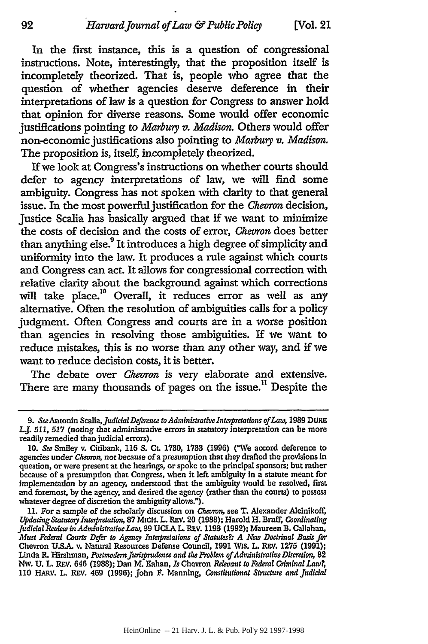In the first instance, this is a question of congressional instructions. Note, interestingly, that the proposition itself is incompletely theorized. That is, people who agree that the question of whether agencies deserve deference in their interpretations of law is a question for Congress to answer hold that opinion for diverse reasons. Some would offer economic justifications pointing to *Marbury v. Madison.* Others would offer non-economic justifications also pointing to *Marbury v. Madison*. The proposition is, itself, incompletely theorized.

If we look at Congress's instructions on whether courts should defer to agency interpretations of law, we will find some ambiguity. Congress has not spoken with clarity to that general issue. In the most powerful justification for the *Chevron* decision, Justice Scalia has basically argued that if we want to minimize the costs of decision and the costs of error, *Chevron* does better than anything else.<sup>9</sup> It introduces a high degree of simplicity and uniformity into the law. It produces a rule against which courts and Congress can act. It allows for congressional correction with relative clarity about the background against which corrections will take place.<sup>10</sup> Overall, it reduces error as well as any alternative. Often the resolution of ambiguities calls for a policy judgment. Often Congress and courts are in a worse position than agencies in resolving those ambiguities. If we want to reduce mistakes, this is no worse than any other way, and if we want to reduce decision costs, it is better.

The debate over *Chevron* is very elaborate and extensive. There are many thousands of pages on the issue.<sup>11</sup> Despite the

<sup>9.</sup> *See* Antonin Scalia, *Judicial Deference to Administrative Interpretations of Law,* 1989 DUKE L.J. **511, 517** (noting that administrative errors in statutory interpretation can be more readily remedied thanjudicial errors).

**<sup>10.</sup>** *See* Smiley v. Citibank, 116 **S. Ct.** 1730, 1733 (1996) ("We accord deference to agencies under *Chevron,* not because of a presumption that they drafted the provisions In question, or were present at the hearings, or spoke to the principal sponsors; but rather because of a presumption that Congress, when **it** left ambiguity in a statute meant for implementation **by** an agency, understood that the ambiguity would be resolved, first and foremost, by the agency, and desired the agency (rather than the courts) to possess whatever degree of discretion the ambiguity allows.").

**<sup>11.</sup>** For a sample of the scholarly discussion on *Chevron,* see T. Alexander Aleinikoff, *Updating Statuto3yInterpretation,* 87 MICH. L. REV. 20 **(1988);** Harold H. **Bmff,** *Coordinating JudicialReview in AdministrativeLan,* 39 **UCLA** *L.* REV. 1193 (1992); Maureen B. Callahan, *Must Federal Courts Defer to Agency Interpretations of Statutes?: A New Doctrinal Basis for* Chevron **U.S.A.** v. Natural Resources Defense Council, 1991 Wis. L. **REv.** 1275 **(1991);** Iinda R. Hirshman, *Postmodern Jurisprudence and the Problem of Administrative Discretion,* **82** Nw. **U.** L REV. 646 **(1988);** Dan M. 1ahan, *Is* Chevron *Reeuant to Federal Criminal Law?,* 110 HARV. L REV. 469 (1996); John F. Manning, *Constitutional Structure and Judicial*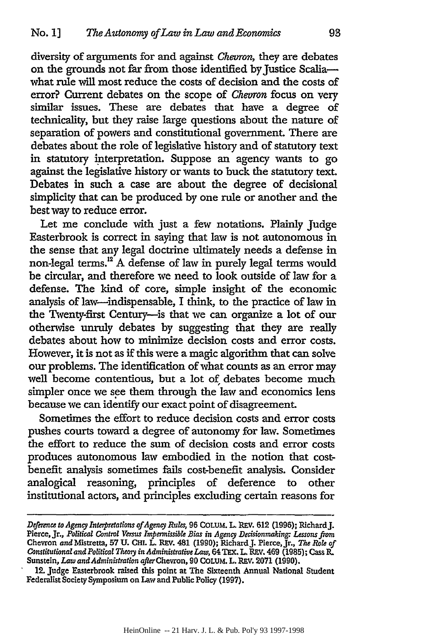diversity of arguments for and against *Chevron,* they are debates on the grounds not far from those identified by Justice Scaliawhat rule will most reduce the costs of decision and the costs of error? Current debates on the scope of *Chevron* focus on very similar issues. These are debates that have a degree of technicality, but they raise large questions about the nature of separation of powers and constitutional government. There are debates about the role of legislative history and of statutory text in statutory interpretation. Suppose an agency wants to go against the legislative history or wants to buck the statutory text. Debates in such a case are about the degree of decisional simplicity that can be produced by one rule or another and the best way to reduce error.

Let me conclude with just a few notations. Plainly Judge Easterbrook is correct in saying that law is not autonomous in the sense that any legal doctrine ultimately needs a defense in non-legal terms.<sup>12</sup> A defense of law in purely legal terms would be circular, and therefore we need to look outside of law for a defense. The kind of core, simple insight of the economic analysis of law-indispensable, I think, to the practice of law in the Twenty-first Century-is that we can organize a lot of our otherwise unruly debates by suggesting that they are really debates about how to minimize decision costs and error costs. However, it is not as if this were a magic algorithm that can solve our problems. The identification of what counts as an error may well become contentious, but a lot of debates become much simpler once we see them through the law and economics lens because we can identify our exact point of disagreement.

Sometimes the effort to reduce decision costs and error costs pushes courts toward a degree of autonomy for law. Sometimes the effort to reduce the sum of decision costs and error costs produces autonomous law embodied in the notion that costbenefit analysis sometimes fails cost-benefit analysis. Consider analogical reasoning, principles of deference to other institutional actors, and principles excluding certain reasons for

*Dtference to Agency Intepretations ofAgency Rules,* **96** COLUM. **L.** REV. **612 (1996);** Richard J. Pierce, Jr., *Political Control Versus Impermissible Bias in Agency Decisionmaking: Lessons from* Chevron and Mistretta, 57 U. CHI. L. REV. 481 (1990); Richard J. Pierce, Jr., The Role of *Constitutional and Political Theory in Administrative Law,* 64 TEX. L. REV. 469 (1985); Cass R. Sunstein, *Law and Administration after* Chevron, 90 COLUM. L. REV. 2071 (1990).

<sup>12.</sup> Judge Easterbrook raised this point at The Sixteenth Annual National Student Federalist Society Symposium on Law and Public Policy (1997).